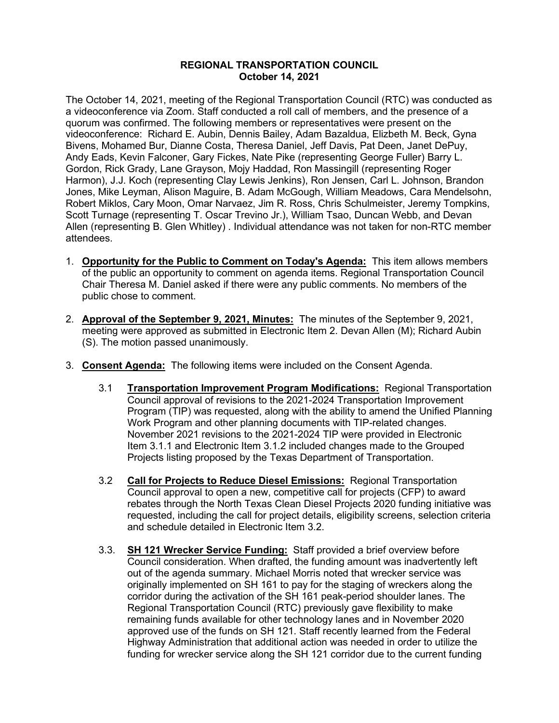## **REGIONAL TRANSPORTATION COUNCIL October 14, 2021**

The October 14, 2021, meeting of the Regional Transportation Council (RTC) was conducted as a videoconference via Zoom. Staff conducted a roll call of members, and the presence of a quorum was confirmed. The following members or representatives were present on the videoconference: Richard E. Aubin, Dennis Bailey, Adam Bazaldua, Elizbeth M. Beck, Gyna Bivens, Mohamed Bur, Dianne Costa, Theresa Daniel, Jeff Davis, Pat Deen, Janet DePuy, Andy Eads, Kevin Falconer, Gary Fickes, Nate Pike (representing George Fuller) Barry L. Gordon, Rick Grady, Lane Grayson, Mojy Haddad, Ron Massingill (representing Roger Harmon), J.J. Koch (representing Clay Lewis Jenkins), Ron Jensen, Carl L. Johnson, Brandon Jones, Mike Leyman, Alison Maguire, B. Adam McGough, William Meadows, Cara Mendelsohn, Robert Miklos, Cary Moon, Omar Narvaez, Jim R. Ross, Chris Schulmeister, Jeremy Tompkins, Scott Turnage (representing T. Oscar Trevino Jr.), William Tsao, Duncan Webb, and Devan Allen (representing B. Glen Whitley) . Individual attendance was not taken for non-RTC member attendees.

- 1. **Opportunity for the Public to Comment on Today's Agenda:** This item allows members of the public an opportunity to comment on agenda items. Regional Transportation Council Chair Theresa M. Daniel asked if there were any public comments. No members of the public chose to comment.
- 2. **Approval of the September 9, 2021, Minutes:** The minutes of the September 9, 2021, meeting were approved as submitted in Electronic Item 2. Devan Allen (M); Richard Aubin (S). The motion passed unanimously.
- 3. **Consent Agenda:** The following items were included on the Consent Agenda.
	- 3.1 **Transportation Improvement Program Modifications:** Regional Transportation Council approval of revisions to the 2021-2024 Transportation Improvement Program (TIP) was requested, along with the ability to amend the Unified Planning Work Program and other planning documents with TIP-related changes. November 2021 revisions to the 2021-2024 TIP were provided in Electronic Item 3.1.1 and Electronic Item 3.1.2 included changes made to the Grouped Projects listing proposed by the Texas Department of Transportation.
	- 3.2 **Call for Projects to Reduce Diesel Emissions:** Regional Transportation Council approval to open a new, competitive call for projects (CFP) to award rebates through the North Texas Clean Diesel Projects 2020 funding initiative was requested, including the call for project details, eligibility screens, selection criteria and schedule detailed in Electronic Item 3.2.
	- 3.3. **SH 121 Wrecker Service Funding:** Staff provided a brief overview before Council consideration. When drafted, the funding amount was inadvertently left out of the agenda summary. Michael Morris noted that wrecker service was originally implemented on SH 161 to pay for the staging of wreckers along the corridor during the activation of the SH 161 peak-period shoulder lanes. The Regional Transportation Council (RTC) previously gave flexibility to make remaining funds available for other technology lanes and in November 2020 approved use of the funds on SH 121. Staff recently learned from the Federal Highway Administration that additional action was needed in order to utilize the funding for wrecker service along the SH 121 corridor due to the current funding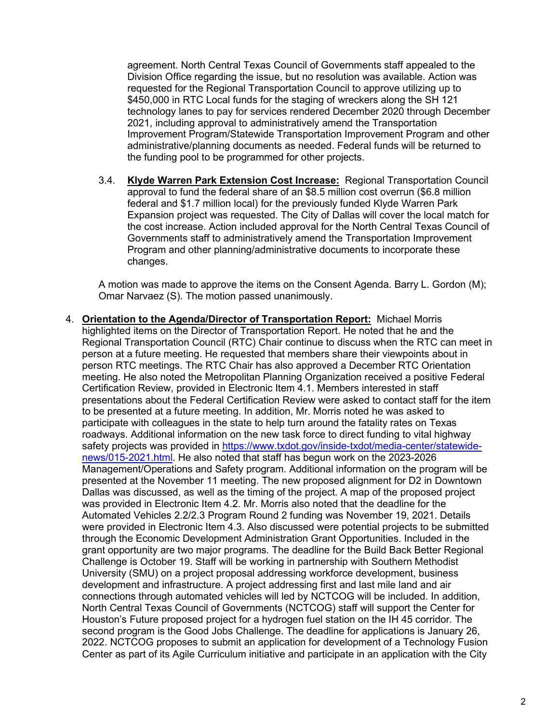agreement. North Central Texas Council of Governments staff appealed to the Division Office regarding the issue, but no resolution was available. Action was requested for the Regional Transportation Council to approve utilizing up to \$450,000 in RTC Local funds for the staging of wreckers along the SH 121 technology lanes to pay for services rendered December 2020 through December 2021, including approval to administratively amend the Transportation Improvement Program/Statewide Transportation Improvement Program and other administrative/planning documents as needed. Federal funds will be returned to the funding pool to be programmed for other projects.

3.4. **Klyde Warren Park Extension Cost Increase:** Regional Transportation Council approval to fund the federal share of an \$8.5 million cost overrun (\$6.8 million federal and \$1.7 million local) for the previously funded Klyde Warren Park Expansion project was requested. The City of Dallas will cover the local match for the cost increase. Action included approval for the North Central Texas Council of Governments staff to administratively amend the Transportation Improvement Program and other planning/administrative documents to incorporate these changes.

A motion was made to approve the items on the Consent Agenda. Barry L. Gordon (M); Omar Narvaez (S). The motion passed unanimously.

4. **Orientation to the Agenda/Director of Transportation Report:** Michael Morris highlighted items on the Director of Transportation Report. He noted that he and the Regional Transportation Council (RTC) Chair continue to discuss when the RTC can meet in person at a future meeting. He requested that members share their viewpoints about in person RTC meetings. The RTC Chair has also approved a December RTC Orientation meeting. He also noted the Metropolitan Planning Organization received a positive Federal Certification Review, provided in Electronic Item 4.1. Members interested in staff presentations about the Federal Certification Review were asked to contact staff for the item to be presented at a future meeting. In addition, Mr. Morris noted he was asked to participate with colleagues in the state to help turn around the fatality rates on Texas roadways. Additional information on the new task force to direct funding to vital highway safety projects was provided in [https://www.txdot.gov/inside-txdot/media-center/statewide](https://www.txdot.gov/inside-txdot/media-center/statewide-news/015-2021.html)[news/015-2021.html.](https://www.txdot.gov/inside-txdot/media-center/statewide-news/015-2021.html) He also noted that staff has begun work on the 2023-2026 Management/Operations and Safety program. Additional information on the program will be presented at the November 11 meeting. The new proposed alignment for D2 in Downtown Dallas was discussed, as well as the timing of the project. A map of the proposed project was provided in Electronic Item 4.2. Mr. Morris also noted that the deadline for the Automated Vehicles 2.2/2.3 Program Round 2 funding was November 19, 2021. Details were provided in Electronic Item 4.3. Also discussed were potential projects to be submitted through the Economic Development Administration Grant Opportunities. Included in the grant opportunity are two major programs. The deadline for the Build Back Better Regional Challenge is October 19. Staff will be working in partnership with Southern Methodist University (SMU) on a project proposal addressing workforce development, business development and infrastructure. A project addressing first and last mile land and air connections through automated vehicles will led by NCTCOG will be included. In addition, North Central Texas Council of Governments (NCTCOG) staff will support the Center for Houston's Future proposed project for a hydrogen fuel station on the IH 45 corridor. The second program is the Good Jobs Challenge. The deadline for applications is January 26, 2022. NCTCOG proposes to submit an application for development of a Technology Fusion Center as part of its Agile Curriculum initiative and participate in an application with the City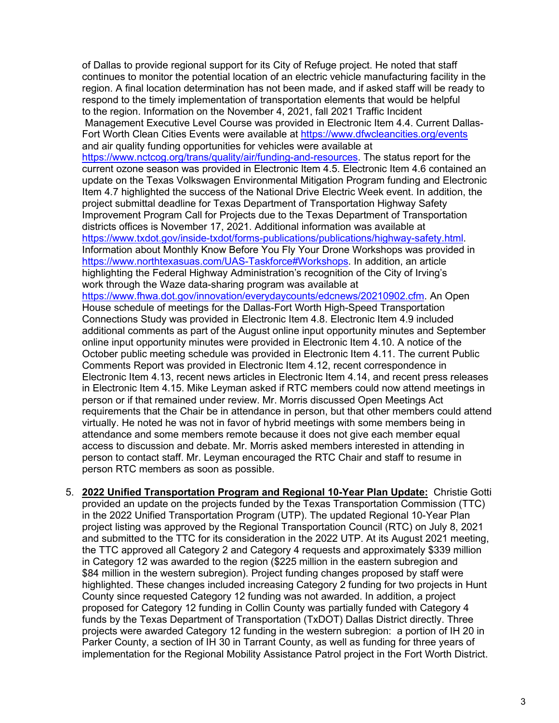of Dallas to provide regional support for its City of Refuge project. He noted that staff continues to monitor the potential location of an electric vehicle manufacturing facility in the region. A final location determination has not been made, and if asked staff will be ready to respond to the timely implementation of transportation elements that would be helpful to the region. Information on the November 4, 2021, fall 2021 Traffic Incident Management Executive Level Course was provided in Electronic Item 4.4. Current Dallas-Fort Worth Clean Cities Events were available at<https://www.dfwcleancities.org/events> and air quality funding opportunities for vehicles were available at [https://www.nctcog.org/trans/quality/air/funding-and-resources.](https://www.nctcog.org/trans/quality/air/funding-and-resources) The status report for the current ozone season was provided in Electronic Item 4.5. Electronic Item 4.6 contained an update on the Texas Volkswagen Environmental Mitigation Program funding and Electronic Item 4.7 highlighted the success of the National Drive Electric Week event. In addition, the project submittal deadline for Texas Department of Transportation Highway Safety Improvement Program Call for Projects due to the Texas Department of Transportation districts offices is November 17, 2021. Additional information was available at [https://www.txdot.gov/inside-txdot/forms-publications/publications/highway-safety.html.](https://www.txdot.gov/inside-txdot/forms-publications/publications/highway-safety.html) Information about Monthly Know Before You Fly Your Drone Workshops was provided in [https://www.northtexasuas.com/UAS-Taskforce#Workshops.](https://www.northtexasuas.com/UAS-Taskforce#Workshops) In addition, an article highlighting the Federal Highway Administration's recognition of the City of Irving's work through the Waze data-sharing program was available at [https://www.fhwa.dot.gov/innovation/everydaycounts/edcnews/20210902.cfm.](https://www.fhwa.dot.gov/innovation/everydaycounts/edcnews/20210902.cfm) An Open House schedule of meetings for the Dallas-Fort Worth High-Speed Transportation Connections Study was provided in Electronic Item 4.8. Electronic Item 4.9 included additional comments as part of the August online input opportunity minutes and September online input opportunity minutes were provided in Electronic Item 4.10. A notice of the October public meeting schedule was provided in Electronic Item 4.11. The current Public Comments Report was provided in Electronic Item 4.12, recent correspondence in Electronic Item 4.13, recent news articles in Electronic Item 4.14, and recent press releases in Electronic Item 4.15. Mike Leyman asked if RTC members could now attend meetings in person or if that remained under review. Mr. Morris discussed Open Meetings Act requirements that the Chair be in attendance in person, but that other members could attend virtually. He noted he was not in favor of hybrid meetings with some members being in attendance and some members remote because it does not give each member equal

5. **2022 Unified Transportation Program and Regional 10-Year Plan Update:** Christie Gotti provided an update on the projects funded by the Texas Transportation Commission (TTC) in the 2022 Unified Transportation Program (UTP). The updated Regional 10-Year Plan project listing was approved by the Regional Transportation Council (RTC) on July 8, 2021 and submitted to the TTC for its consideration in the 2022 UTP. At its August 2021 meeting, the TTC approved all Category 2 and Category 4 requests and approximately \$339 million in Category 12 was awarded to the region (\$225 million in the eastern subregion and \$84 million in the western subregion). Project funding changes proposed by staff were highlighted. These changes included increasing Category 2 funding for two projects in Hunt County since requested Category 12 funding was not awarded. In addition, a project proposed for Category 12 funding in Collin County was partially funded with Category 4 funds by the Texas Department of Transportation (TxDOT) Dallas District directly. Three projects were awarded Category 12 funding in the western subregion: a portion of IH 20 in Parker County, a section of IH 30 in Tarrant County, as well as funding for three years of implementation for the Regional Mobility Assistance Patrol project in the Fort Worth District.

access to discussion and debate. Mr. Morris asked members interested in attending in person to contact staff. Mr. Leyman encouraged the RTC Chair and staff to resume in

person RTC members as soon as possible.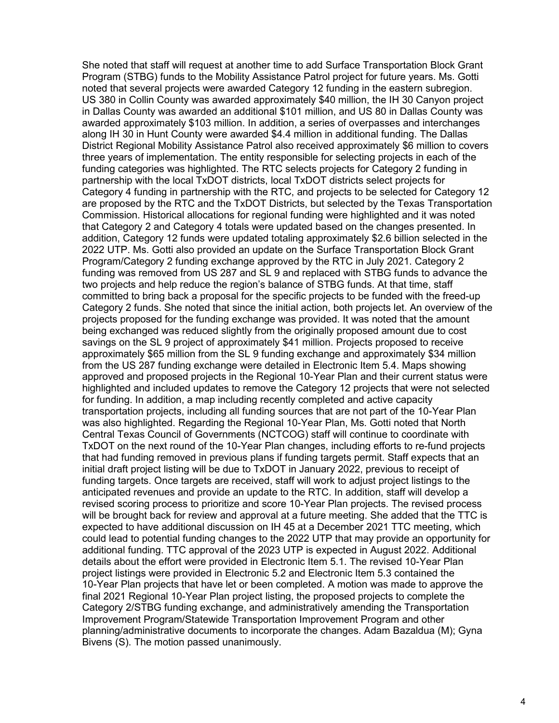She noted that staff will request at another time to add Surface Transportation Block Grant Program (STBG) funds to the Mobility Assistance Patrol project for future years. Ms. Gotti noted that several projects were awarded Category 12 funding in the eastern subregion. US 380 in Collin County was awarded approximately \$40 million, the IH 30 Canyon project in Dallas County was awarded an additional \$101 million, and US 80 in Dallas County was awarded approximately \$103 million. In addition, a series of overpasses and interchanges along IH 30 in Hunt County were awarded \$4.4 million in additional funding. The Dallas District Regional Mobility Assistance Patrol also received approximately \$6 million to covers three years of implementation. The entity responsible for selecting projects in each of the funding categories was highlighted. The RTC selects projects for Category 2 funding in partnership with the local TxDOT districts, local TxDOT districts select projects for Category 4 funding in partnership with the RTC, and projects to be selected for Category 12 are proposed by the RTC and the TxDOT Districts, but selected by the Texas Transportation Commission. Historical allocations for regional funding were highlighted and it was noted that Category 2 and Category 4 totals were updated based on the changes presented. In addition, Category 12 funds were updated totaling approximately \$2.6 billion selected in the 2022 UTP. Ms. Gotti also provided an update on the Surface Transportation Block Grant Program/Category 2 funding exchange approved by the RTC in July 2021. Category 2 funding was removed from US 287 and SL 9 and replaced with STBG funds to advance the two projects and help reduce the region's balance of STBG funds. At that time, staff committed to bring back a proposal for the specific projects to be funded with the freed-up Category 2 funds. She noted that since the initial action, both projects let. An overview of the projects proposed for the funding exchange was provided. It was noted that the amount being exchanged was reduced slightly from the originally proposed amount due to cost savings on the SL 9 project of approximately \$41 million. Projects proposed to receive approximately \$65 million from the SL 9 funding exchange and approximately \$34 million from the US 287 funding exchange were detailed in Electronic Item 5.4. Maps showing approved and proposed projects in the Regional 10-Year Plan and their current status were highlighted and included updates to remove the Category 12 projects that were not selected for funding. In addition, a map including recently completed and active capacity transportation projects, including all funding sources that are not part of the 10-Year Plan was also highlighted. Regarding the Regional 10-Year Plan, Ms. Gotti noted that North Central Texas Council of Governments (NCTCOG) staff will continue to coordinate with TxDOT on the next round of the 10-Year Plan changes, including efforts to re-fund projects that had funding removed in previous plans if funding targets permit. Staff expects that an initial draft project listing will be due to TxDOT in January 2022, previous to receipt of funding targets. Once targets are received, staff will work to adjust project listings to the anticipated revenues and provide an update to the RTC. In addition, staff will develop a revised scoring process to prioritize and score 10-Year Plan projects. The revised process will be brought back for review and approval at a future meeting. She added that the TTC is expected to have additional discussion on IH 45 at a December 2021 TTC meeting, which could lead to potential funding changes to the 2022 UTP that may provide an opportunity for additional funding. TTC approval of the 2023 UTP is expected in August 2022. Additional details about the effort were provided in Electronic Item 5.1. The revised 10-Year Plan project listings were provided in Electronic 5.2 and Electronic Item 5.3 contained the 10-Year Plan projects that have let or been completed. A motion was made to approve the final 2021 Regional 10-Year Plan project listing, the proposed projects to complete the Category 2/STBG funding exchange, and administratively amending the Transportation Improvement Program/Statewide Transportation Improvement Program and other planning/administrative documents to incorporate the changes. Adam Bazaldua (M); Gyna Bivens (S). The motion passed unanimously.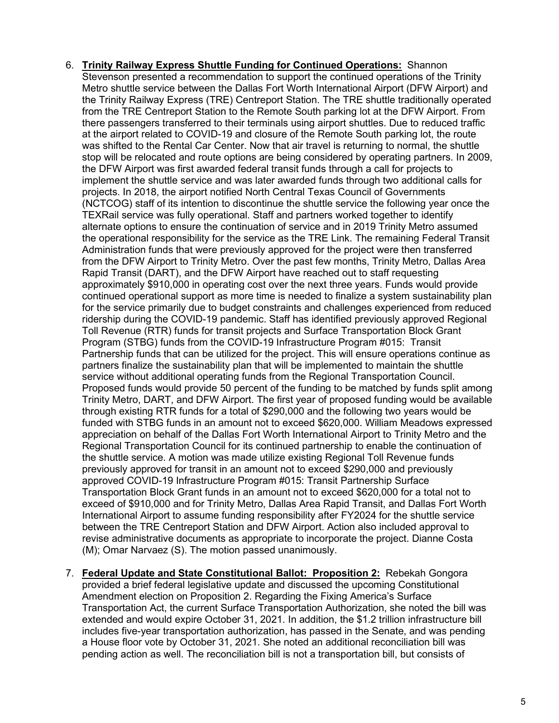- 6. **Trinity Railway Express Shuttle Funding for Continued Operations:** Shannon Stevenson presented a recommendation to support the continued operations of the Trinity Metro shuttle service between the Dallas Fort Worth International Airport (DFW Airport) and the Trinity Railway Express (TRE) Centreport Station. The TRE shuttle traditionally operated from the TRE Centreport Station to the Remote South parking lot at the DFW Airport. From there passengers transferred to their terminals using airport shuttles. Due to reduced traffic at the airport related to COVID-19 and closure of the Remote South parking lot, the route was shifted to the Rental Car Center. Now that air travel is returning to normal, the shuttle stop will be relocated and route options are being considered by operating partners. In 2009, the DFW Airport was first awarded federal transit funds through a call for projects to implement the shuttle service and was later awarded funds through two additional calls for projects. In 2018, the airport notified North Central Texas Council of Governments (NCTCOG) staff of its intention to discontinue the shuttle service the following year once the TEXRail service was fully operational. Staff and partners worked together to identify alternate options to ensure the continuation of service and in 2019 Trinity Metro assumed the operational responsibility for the service as the TRE Link. The remaining Federal Transit Administration funds that were previously approved for the project were then transferred from the DFW Airport to Trinity Metro. Over the past few months, Trinity Metro, Dallas Area Rapid Transit (DART), and the DFW Airport have reached out to staff requesting approximately \$910,000 in operating cost over the next three years. Funds would provide continued operational support as more time is needed to finalize a system sustainability plan for the service primarily due to budget constraints and challenges experienced from reduced ridership during the COVID-19 pandemic. Staff has identified previously approved Regional Toll Revenue (RTR) funds for transit projects and Surface Transportation Block Grant Program (STBG) funds from the COVID-19 Infrastructure Program #015: Transit Partnership funds that can be utilized for the project. This will ensure operations continue as partners finalize the sustainability plan that will be implemented to maintain the shuttle service without additional operating funds from the Regional Transportation Council. Proposed funds would provide 50 percent of the funding to be matched by funds split among Trinity Metro, DART, and DFW Airport. The first year of proposed funding would be available through existing RTR funds for a total of \$290,000 and the following two years would be funded with STBG funds in an amount not to exceed \$620,000. William Meadows expressed appreciation on behalf of the Dallas Fort Worth International Airport to Trinity Metro and the Regional Transportation Council for its continued partnership to enable the continuation of the shuttle service. A motion was made utilize existing Regional Toll Revenue funds previously approved for transit in an amount not to exceed \$290,000 and previously approved COVID-19 Infrastructure Program #015: Transit Partnership Surface Transportation Block Grant funds in an amount not to exceed \$620,000 for a total not to exceed of \$910,000 and for Trinity Metro, Dallas Area Rapid Transit, and Dallas Fort Worth International Airport to assume funding responsibility after FY2024 for the shuttle service between the TRE Centreport Station and DFW Airport. Action also included approval to revise administrative documents as appropriate to incorporate the project. Dianne Costa (M); Omar Narvaez (S). The motion passed unanimously.
- 7. **Federal Update and State Constitutional Ballot: Proposition 2:** Rebekah Gongora provided a brief federal legislative update and discussed the upcoming Constitutional Amendment election on Proposition 2. Regarding the Fixing America's Surface Transportation Act, the current Surface Transportation Authorization, she noted the bill was extended and would expire October 31, 2021. In addition, the \$1.2 trillion infrastructure bill includes five-year transportation authorization, has passed in the Senate, and was pending a House floor vote by October 31, 2021. She noted an additional reconciliation bill was pending action as well. The reconciliation bill is not a transportation bill, but consists of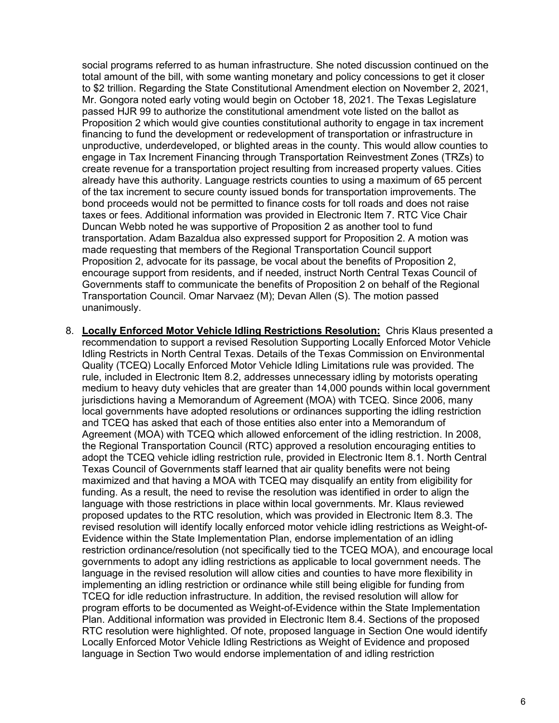social programs referred to as human infrastructure. She noted discussion continued on the total amount of the bill, with some wanting monetary and policy concessions to get it closer to \$2 trillion. Regarding the State Constitutional Amendment election on November 2, 2021, Mr. Gongora noted early voting would begin on October 18, 2021. The Texas Legislature passed HJR 99 to authorize the constitutional amendment vote listed on the ballot as Proposition 2 which would give counties constitutional authority to engage in tax increment financing to fund the development or redevelopment of transportation or infrastructure in unproductive, underdeveloped, or blighted areas in the county. This would allow counties to engage in Tax Increment Financing through Transportation Reinvestment Zones (TRZs) to create revenue for a transportation project resulting from increased property values. Cities already have this authority. Language restricts counties to using a maximum of 65 percent of the tax increment to secure county issued bonds for transportation improvements. The bond proceeds would not be permitted to finance costs for toll roads and does not raise taxes or fees. Additional information was provided in Electronic Item 7. RTC Vice Chair Duncan Webb noted he was supportive of Proposition 2 as another tool to fund transportation. Adam Bazaldua also expressed support for Proposition 2. A motion was made requesting that members of the Regional Transportation Council support Proposition 2, advocate for its passage, be vocal about the benefits of Proposition 2, encourage support from residents, and if needed, instruct North Central Texas Council of Governments staff to communicate the benefits of Proposition 2 on behalf of the Regional Transportation Council. Omar Narvaez (M); Devan Allen (S). The motion passed unanimously.

8. **Locally Enforced Motor Vehicle Idling Restrictions Resolution:** Chris Klaus presented a recommendation to support a revised Resolution Supporting Locally Enforced Motor Vehicle Idling Restricts in North Central Texas. Details of the Texas Commission on Environmental Quality (TCEQ) Locally Enforced Motor Vehicle Idling Limitations rule was provided. The rule, included in Electronic Item 8.2, addresses unnecessary idling by motorists operating medium to heavy duty vehicles that are greater than 14,000 pounds within local government jurisdictions having a Memorandum of Agreement (MOA) with TCEQ. Since 2006, many local governments have adopted resolutions or ordinances supporting the idling restriction and TCEQ has asked that each of those entities also enter into a Memorandum of Agreement (MOA) with TCEQ which allowed enforcement of the idling restriction. In 2008, the Regional Transportation Council (RTC) approved a resolution encouraging entities to adopt the TCEQ vehicle idling restriction rule, provided in Electronic Item 8.1. North Central Texas Council of Governments staff learned that air quality benefits were not being maximized and that having a MOA with TCEQ may disqualify an entity from eligibility for funding. As a result, the need to revise the resolution was identified in order to align the language with those restrictions in place within local governments. Mr. Klaus reviewed proposed updates to the RTC resolution, which was provided in Electronic Item 8.3. The revised resolution will identify locally enforced motor vehicle idling restrictions as Weight-of-Evidence within the State Implementation Plan, endorse implementation of an idling restriction ordinance/resolution (not specifically tied to the TCEQ MOA), and encourage local governments to adopt any idling restrictions as applicable to local government needs. The language in the revised resolution will allow cities and counties to have more flexibility in implementing an idling restriction or ordinance while still being eligible for funding from TCEQ for idle reduction infrastructure. In addition, the revised resolution will allow for program efforts to be documented as Weight-of-Evidence within the State Implementation Plan. Additional information was provided in Electronic Item 8.4. Sections of the proposed RTC resolution were highlighted. Of note, proposed language in Section One would identify Locally Enforced Motor Vehicle Idling Restrictions as Weight of Evidence and proposed language in Section Two would endorse implementation of and idling restriction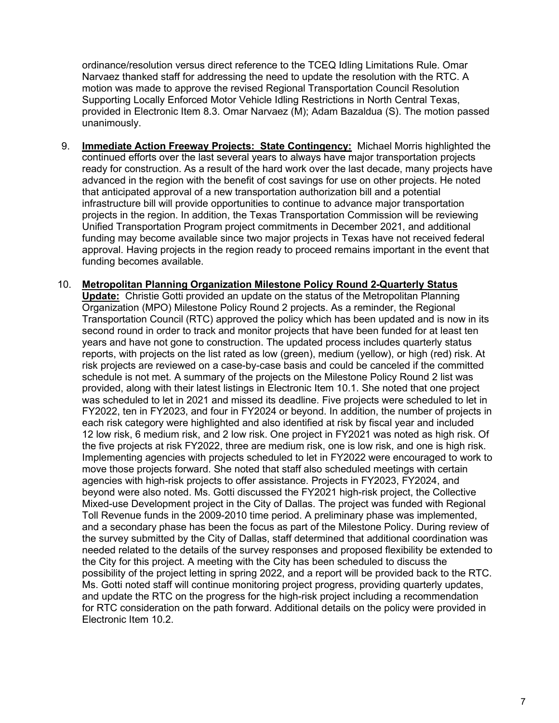ordinance/resolution versus direct reference to the TCEQ Idling Limitations Rule. Omar Narvaez thanked staff for addressing the need to update the resolution with the RTC. A motion was made to approve the revised Regional Transportation Council Resolution Supporting Locally Enforced Motor Vehicle Idling Restrictions in North Central Texas, provided in Electronic Item 8.3. Omar Narvaez (M); Adam Bazaldua (S). The motion passed unanimously.

- 9. **Immediate Action Freeway Projects: State Contingency:** Michael Morris highlighted the continued efforts over the last several years to always have major transportation projects ready for construction. As a result of the hard work over the last decade, many projects have advanced in the region with the benefit of cost savings for use on other projects. He noted that anticipated approval of a new transportation authorization bill and a potential infrastructure bill will provide opportunities to continue to advance major transportation projects in the region. In addition, the Texas Transportation Commission will be reviewing Unified Transportation Program project commitments in December 2021, and additional funding may become available since two major projects in Texas have not received federal approval. Having projects in the region ready to proceed remains important in the event that funding becomes available.
- 10. **Metropolitan Planning Organization Milestone Policy Round 2-Quarterly Status Update:** Christie Gotti provided an update on the status of the Metropolitan Planning Organization (MPO) Milestone Policy Round 2 projects. As a reminder, the Regional Transportation Council (RTC) approved the policy which has been updated and is now in its second round in order to track and monitor projects that have been funded for at least ten years and have not gone to construction. The updated process includes quarterly status reports, with projects on the list rated as low (green), medium (yellow), or high (red) risk. At risk projects are reviewed on a case-by-case basis and could be canceled if the committed schedule is not met. A summary of the projects on the Milestone Policy Round 2 list was provided, along with their latest listings in Electronic Item 10.1. She noted that one project was scheduled to let in 2021 and missed its deadline. Five projects were scheduled to let in FY2022, ten in FY2023, and four in FY2024 or beyond. In addition, the number of projects in each risk category were highlighted and also identified at risk by fiscal year and included 12 low risk, 6 medium risk, and 2 low risk. One project in FY2021 was noted as high risk. Of the five projects at risk FY2022, three are medium risk, one is low risk, and one is high risk. Implementing agencies with projects scheduled to let in FY2022 were encouraged to work to move those projects forward. She noted that staff also scheduled meetings with certain agencies with high-risk projects to offer assistance. Projects in FY2023, FY2024, and beyond were also noted. Ms. Gotti discussed the FY2021 high-risk project, the Collective Mixed-use Development project in the City of Dallas. The project was funded with Regional Toll Revenue funds in the 2009-2010 time period. A preliminary phase was implemented, and a secondary phase has been the focus as part of the Milestone Policy. During review of the survey submitted by the City of Dallas, staff determined that additional coordination was needed related to the details of the survey responses and proposed flexibility be extended to the City for this project. A meeting with the City has been scheduled to discuss the possibility of the project letting in spring 2022, and a report will be provided back to the RTC. Ms. Gotti noted staff will continue monitoring project progress, providing quarterly updates, and update the RTC on the progress for the high-risk project including a recommendation for RTC consideration on the path forward. Additional details on the policy were provided in Electronic Item 10.2.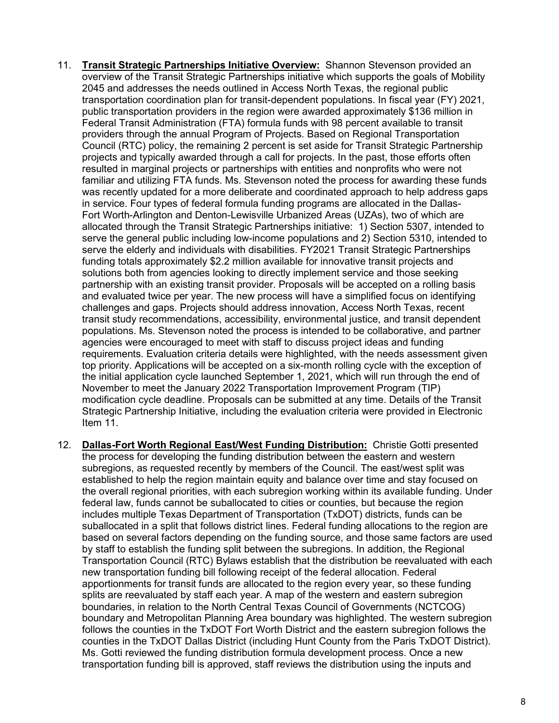- 11. **Transit Strategic Partnerships Initiative Overview:** Shannon Stevenson provided an overview of the Transit Strategic Partnerships initiative which supports the goals of Mobility 2045 and addresses the needs outlined in Access North Texas, the regional public transportation coordination plan for transit-dependent populations. In fiscal year (FY) 2021, public transportation providers in the region were awarded approximately \$136 million in Federal Transit Administration (FTA) formula funds with 98 percent available to transit providers through the annual Program of Projects. Based on Regional Transportation Council (RTC) policy, the remaining 2 percent is set aside for Transit Strategic Partnership projects and typically awarded through a call for projects. In the past, those efforts often resulted in marginal projects or partnerships with entities and nonprofits who were not familiar and utilizing FTA funds. Ms. Stevenson noted the process for awarding these funds was recently updated for a more deliberate and coordinated approach to help address gaps in service. Four types of federal formula funding programs are allocated in the Dallas-Fort Worth-Arlington and Denton-Lewisville Urbanized Areas (UZAs), two of which are allocated through the Transit Strategic Partnerships initiative: 1) Section 5307, intended to serve the general public including low-income populations and 2) Section 5310, intended to serve the elderly and individuals with disabilities. FY2021 Transit Strategic Partnerships funding totals approximately \$2.2 million available for innovative transit projects and solutions both from agencies looking to directly implement service and those seeking partnership with an existing transit provider. Proposals will be accepted on a rolling basis and evaluated twice per year. The new process will have a simplified focus on identifying challenges and gaps. Projects should address innovation, Access North Texas, recent transit study recommendations, accessibility, environmental justice, and transit dependent populations. Ms. Stevenson noted the process is intended to be collaborative, and partner agencies were encouraged to meet with staff to discuss project ideas and funding requirements. Evaluation criteria details were highlighted, with the needs assessment given top priority. Applications will be accepted on a six-month rolling cycle with the exception of the initial application cycle launched September 1, 2021, which will run through the end of November to meet the January 2022 Transportation Improvement Program (TIP) modification cycle deadline. Proposals can be submitted at any time. Details of the Transit Strategic Partnership Initiative, including the evaluation criteria were provided in Electronic Item 11.
- 12. **Dallas-Fort Worth Regional East/West Funding Distribution:** Christie Gotti presented the process for developing the funding distribution between the eastern and western subregions, as requested recently by members of the Council. The east/west split was established to help the region maintain equity and balance over time and stay focused on the overall regional priorities, with each subregion working within its available funding. Under federal law, funds cannot be suballocated to cities or counties, but because the region includes multiple Texas Department of Transportation (TxDOT) districts, funds can be suballocated in a split that follows district lines. Federal funding allocations to the region are based on several factors depending on the funding source, and those same factors are used by staff to establish the funding split between the subregions. In addition, the Regional Transportation Council (RTC) Bylaws establish that the distribution be reevaluated with each new transportation funding bill following receipt of the federal allocation. Federal apportionments for transit funds are allocated to the region every year, so these funding splits are reevaluated by staff each year. A map of the western and eastern subregion boundaries, in relation to the North Central Texas Council of Governments (NCTCOG) boundary and Metropolitan Planning Area boundary was highlighted. The western subregion follows the counties in the TxDOT Fort Worth District and the eastern subregion follows the counties in the TxDOT Dallas District (including Hunt County from the Paris TxDOT District). Ms. Gotti reviewed the funding distribution formula development process. Once a new transportation funding bill is approved, staff reviews the distribution using the inputs and